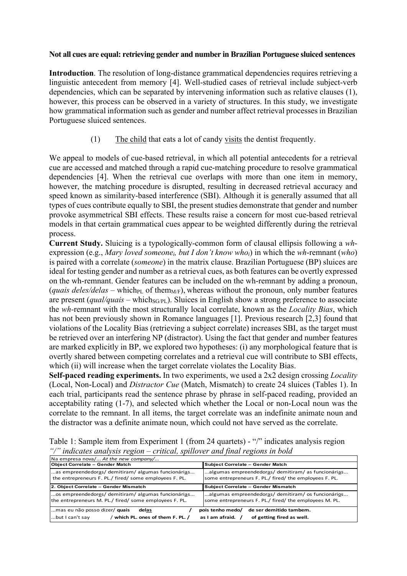## **Not all cues are equal: retrieving gender and number in Brazilian Portuguese sluiced sentences**

**Introduction**. The resolution of long-distance grammatical dependencies requires retrieving a linguistic antecedent from memory [4]. Well-studied cases of retrieval include subject-verb dependencies, which can be separated by intervening information such as relative clauses (1), however, this process can be observed in a variety of structures. In this study, we investigate how grammatical information such as gender and number affect retrieval processes in Brazilian Portuguese sluiced sentences.

(1) The child that eats a lot of candy visits the dentist frequently.

We appeal to models of cue-based retrieval, in which all potential antecedents for a retrieval cue are accessed and matched through a rapid cue-matching procedure to resolve grammatical dependencies [4]. When the retrieval cue overlaps with more than one item in memory, however, the matching procedure is disrupted, resulting in decreased retrieval accuracy and speed known as similarity-based interference (SBI). Although it is generally assumed that all types of cues contribute equally to SBI, the present studies demonstrate that gender and number provoke asymmetrical SBI effects. These results raise a concern for most cue-based retrieval models in that certain grammatical cues appear to be weighted differently during the retrieval process.

**Current Study.** Sluicing is a typologically-common form of clausal ellipsis following a *wh*expression (e.g., *Mary loved someonei, but I don't know whoi*) in which the *wh*-remnant (*who*) is paired with a correlate (*someone*) in the matrix clause. Brazilian Portuguese (BP) sluices are ideal for testing gender and number as a retrieval cues, as both features can be overtly expressed on the wh-remnant. Gender features can be included on the wh-remnant by adding a pronoun, (*quais deles/delas* – which<sub>PL</sub> of them<sub>M/F</sub>), whereas without the pronoun, only number features are present (*qual/quais –* which<sub>SG/PL</sub>). Sluices in English show a strong preference to associate the *wh-*remnant with the most structurally local correlate, known as the *Locality Bias*, which has not been previously shown in Romance languages [1]. Previous research [2,3] found that violations of the Locality Bias (retrieving a subject correlate) increases SBI, as the target must be retrieved over an interfering NP (distractor). Using the fact that gender and number features are marked explicitly in BP, we explored two hypotheses: (i) any morphological feature that is overtly shared between competing correlates and a retrieval cue will contribute to SBI effects, which (ii) will increase when the target correlate violates the Locality Bias.

**Self-paced reading experiments.** In two experiments, we used a 2x2 design crossing *Locality* (Local, Non-Local) and *Distractor Cue* (Match, Mismatch) to create 24 sluices (Tables 1). In each trial, participants read the sentence phrase by phrase in self-paced reading, provided an acceptability rating (1-7), and selected which whether the Local or non-Local noun was the correlate to the remnant. In all items, the target correlate was an indefinite animate noun and the distractor was a definite animate noun, which could not have served as the correlate.

Table 1: Sample item from Experiment 1 (from 24 quartets) - "/" indicates analysis region *"/" indicates analysis region – critical, spillover and final regions in bold*

| Na empresa nova/ At the new company/                                                                                                                                                            |                                                                                                            |
|-------------------------------------------------------------------------------------------------------------------------------------------------------------------------------------------------|------------------------------------------------------------------------------------------------------------|
| <b>Object Correlate - Gender Match</b>                                                                                                                                                          | Subject Correlate - Gender Match                                                                           |
| as empreendedoras/ demitiram/ algumas funcionárias<br>the entrepreneurs F. PL./ fired/ some employees F. PL.                                                                                    | algumas empreendedoras/demitiram/as funcionárias<br>some entrepreneurs F. PL./ fired/ the employees F. PL. |
| 2. Object Correlate - Gender Mismatch                                                                                                                                                           | Subject Correlate - Gender Mismatch                                                                        |
| os empreendedores/ demitiram/ algumas funcionárias<br>the entrepreneurs M. PL./ fired/ some employees F. PL.                                                                                    | algumas empreendedoras/demitiram/os funcionários<br>some entrepreneurs F. PL./ fired/ the employees M. PL. |
| de ser demitido tambem.<br>pois tenho medo/<br>mas eu não posso dizer/ quais<br>delas<br>/ which PL. ones of them F. PL. /<br>of getting fired as well.<br>but I can't say<br>as I am afraid. / |                                                                                                            |